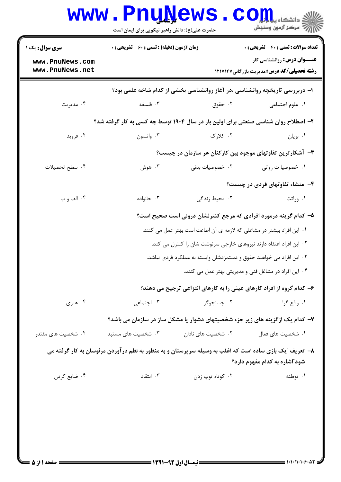| <b>سری سوال :</b> یک ۱             | <b>زمان آزمون (دقیقه) : تستی : 60 ٪ تشریحی : 0</b>                                                     |                                                                              | <b>تعداد سوالات : تستی : ۴۰ - تشریحی : 0</b>                                             |
|------------------------------------|--------------------------------------------------------------------------------------------------------|------------------------------------------------------------------------------|------------------------------------------------------------------------------------------|
| www.PnuNews.com<br>www.PnuNews.net |                                                                                                        |                                                                              | <b>عنـــوان درس:</b> روانشناسی کار<br><b>رشته تحصیلی/کد درس:</b> مدیریت بازرگانی ۱۲۱۷۱۴۷ |
|                                    |                                                                                                        | ۱– دربررسی تاریخچه روانشناسی ،در آغاز روانشناسی بخشی از کدام شاخه علمی بود؟  |                                                                                          |
| ۰۴ مديريت                          | ۰۳ فلسفه                                                                                               | ۰۲ حقوق                                                                      | ٠١. علوم اجتماعي                                                                         |
|                                    | ۲- اصطلاح روان شناسی صنعتی برای اولین بار در سال ۱۹۰۴ توسط چه کسی به کار گرفته شد؟                     |                                                                              |                                                                                          |
| ۰۴ فروید                           | ۰۳ واتسون                                                                                              | ۰۲ کلارک                                                                     | ۰۱ بريان                                                                                 |
|                                    |                                                                                                        | ۳- آشکارترین تفاوتهای موجود بین کارکنان هر سازمان در چیست؟                   |                                                                                          |
| ۰۴ سطح تحصیلات                     | ۰۳ هوش                                                                                                 | ۰۲ خصوصیات بدنی                                                              | ٠١. خصوصيا ت رواني                                                                       |
|                                    |                                                                                                        |                                                                              | ۴- منشاء تفاوتهای فردی در چیست؟                                                          |
| ۰۴ الف و ب                         | ۰۳ خانواده                                                                                             | ۰۲ محیط زندگی                                                                | ۰۱ وراثت                                                                                 |
|                                    |                                                                                                        | ۵– کدام گزینه درمورد افرادی که مرجع کنترلشان درونی است صحیح است؟             |                                                                                          |
|                                    |                                                                                                        | ۰۱ این افراد بیشتر در مشاغلی که لازمه ی آن اطاعت است بهتر عمل می کنند.       |                                                                                          |
|                                    |                                                                                                        | ۰۲ این افراد اعتقاد دارند نیروهای خارجی سرنوشت شان را کنترل می کند.          |                                                                                          |
|                                    |                                                                                                        | ۰۳ این افراد می خواهند حقوق و دستمزدشان وابسته به عملکرد فردی نباشد.         |                                                                                          |
|                                    |                                                                                                        |                                                                              | ۰۴ این افراد در مشاغل فنی و مدیریتی بهتر عمل می کنند.                                    |
|                                    |                                                                                                        | ۶– کدام گروه از افراد کارهای عینی را به کارهای انتزاعی ترجیح می دهند؟        |                                                                                          |
| ۰۴ هنري                            | ۰۳ اجتماعی                                                                                             | ۰۲ جستجوگر                                                                   | ١. واقع گرا                                                                              |
|                                    |                                                                                                        | ۷– کدام یک ازگزینه های زیر جزء شخصیتهای دشوار یا مشکل ساز در سازمان می باشد؟ |                                                                                          |
| ۰۴ شخصیت های مقتدر                 | ۰۳ شخصیت های مستبد                                                                                     | ۰۲ شخصیت های نادان                                                           | ۰۱ شخصیت های فعال                                                                        |
|                                    | ۸– تعریف "یک بازی ساده است که اغلب به وسیله سرپرستان و به منظور به نظم درآوردن مرئوسان به کار گرفته می |                                                                              | شود ّاشاره به کدام مفهوم دارد؟                                                           |
| ۰۴ ضایع کردن                       | ۰۳ انتقاد                                                                                              | ۰۲ کوتاه توپ زدن                                                             | ۰۱ توطئه                                                                                 |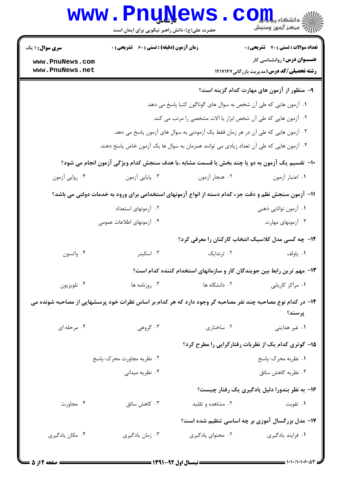|                                                                                                                                                                           | <b>www.PnuNews</b><br>حضرت علی(ع): دانش راهبر نیکویی برای ایمان است |                   | الاد دانشگاه پیام اوران<br>الا دانشگاه پیام اوران                                                                     |  |
|---------------------------------------------------------------------------------------------------------------------------------------------------------------------------|---------------------------------------------------------------------|-------------------|-----------------------------------------------------------------------------------------------------------------------|--|
| <b>سری سوال : ۱ یک</b><br>www.PnuNews.com                                                                                                                                 | <b>زمان آزمون (دقیقه) : تستی : 60 ٪ تشریحی : 0</b>                  |                   | <b>تعداد سوالات : تستی : 40 - تشریحی : 0</b><br><b>عنـــوان درس:</b> روانشناسی کار                                    |  |
| www.PnuNews.net                                                                                                                                                           |                                                                     |                   | <b>رشته تحصیلی/کد درس:</b> مدیریت بازرگانی1۲۱۷۱۴۷                                                                     |  |
|                                                                                                                                                                           |                                                                     |                   | ۹– منظور از آزمون های مهارت کدام گزینه است؟                                                                           |  |
|                                                                                                                                                                           |                                                                     |                   | ۰۱ آزمون هایی که طی آن شخص به سوال های گوناگون کتبا پاسخ می دهد.                                                      |  |
|                                                                                                                                                                           |                                                                     |                   | ۰۲ آزمون هایی که طی آن شخص ابزار یا آلات مشخصی را مرتب می کند.                                                        |  |
| ۰۳ آزمون هایی که طی آن در هر زمان فقط یک آزمودنی به سوال های آزمون پاسخ می دهد.<br>۰۴ آزمون هایی که طی آن تعداد زیادی می توانند همزمان به سوال ها یک آزمون خاص پاسخ دهند. |                                                                     |                   |                                                                                                                       |  |
|                                                                                                                                                                           |                                                                     |                   |                                                                                                                       |  |
|                                                                                                                                                                           |                                                                     |                   | ∙ا− تقسیم یک آزمون به دو یا چند بخش یا قسمت مشابه ،با هدف سنجش کدام ویژگی آزمون انجام می شود؟                         |  |
| ۰۴ روایی آزمون                                                                                                                                                            | ۰۳ پایایی آزمون                                                     | ۰۲ هنجار آزمون    | ٠١ اعتبار آزمون                                                                                                       |  |
| 11– آزمون سنجش نظم و دقت جزء کدام دسته از انواع آزمونهای استخدامی برای ورود به خدمات دولتی می باشد؟                                                                       |                                                                     |                   |                                                                                                                       |  |
|                                                                                                                                                                           | ۰۲ آزمونهای استعداد                                                 |                   | ۰۱ آزمون توانایی ذهنی                                                                                                 |  |
|                                                                                                                                                                           | ۰۴ آزمونهای اطلاعات عمومی                                           |                   | ۰۳ آزمونهای مهارت                                                                                                     |  |
|                                                                                                                                                                           |                                                                     |                   | ۱۲– چه کسی مدل کلاسیک انتخاب کارکنان را معرفی کرد؟                                                                    |  |
| ۰۴ واتسون                                                                                                                                                                 | ۰۳ اسکینر                                                           | ۰۲ ثرندایک        | ۰۱ پاولف                                                                                                              |  |
|                                                                                                                                                                           |                                                                     |                   | ۱۳- مهم ترین رابط بین جویندگان کار و سازمانهای استخدام کننده کدام است؟                                                |  |
| ۰۴ تلويزيون                                                                                                                                                               | ۰۳ روزنامه ها                                                       | ۰۲ دانشگاه ها     | ٠١ مراكز كاريابي                                                                                                      |  |
|                                                                                                                                                                           |                                                                     |                   | ۱۴– در کدام نوع مصاحبه چند نفر مصاحبه گر وجود دارد که هر کدام بر اساس نظرات خود پرسشهایی از مصاحبه شونده می<br>پرسند؟ |  |
| ۰۴ مرحله ای                                                                                                                                                               | ۰۳ گروهی                                                            | ۰۲ ساختاری        | ۰۱ غیر هدایتی                                                                                                         |  |
|                                                                                                                                                                           |                                                                     |                   | ۱۵– گوتری کدام یک از نظریات رفتارگرایی را مطرح کرد؟                                                                   |  |
|                                                                                                                                                                           | ۰۲ نظریه مجاورت محرک-پاسخ                                           |                   | ۰۱ نظریه محرک-پاسخ                                                                                                    |  |
|                                                                                                                                                                           | ۰۴ نظریه میدانی                                                     |                   | ۰۳ نظریه کاهش سائق                                                                                                    |  |
|                                                                                                                                                                           |                                                                     |                   | ۱۶- به نظر بندورا دلیل یادگیری یک رفتار چیست؟                                                                         |  |
| ۰۴ مجاورت                                                                                                                                                                 | ۰۳ کاهش سائق                                                        | ۰۲ مشاهده و تقلید | ۰۱ تقویت                                                                                                              |  |
|                                                                                                                                                                           |                                                                     |                   | ۱۷- مدل بزرگسال آموزی بر چه اساسی تنظیم شده است؟                                                                      |  |
| ۰۴ مکان یادگیری                                                                                                                                                           | ۰۳ زمان يادگيري                                                     | ۰۲ محتوای یادگیری | ٠١ فرايند يادگيري                                                                                                     |  |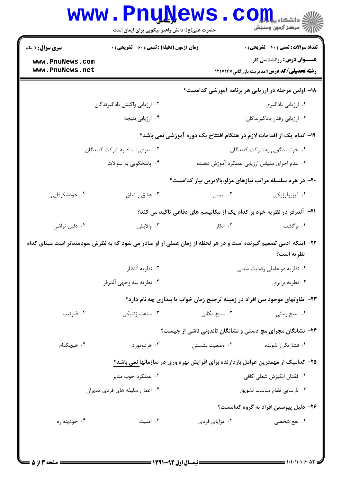|                                    | حضرت علی(ع): دانش راهبر نیکویی برای ایمان است                                                                  |                             | الاد دانشگاه پ <b>یاه آور</b><br>ا <mark>∜</mark> مرکز آزمهن وسنجش          |
|------------------------------------|----------------------------------------------------------------------------------------------------------------|-----------------------------|-----------------------------------------------------------------------------|
| <b>سری سوال : ۱ یک</b>             | <b>زمان آزمون (دقیقه) : تستی : 60 ٪ تشریحی : 0</b>                                                             |                             | <b>تعداد سوالات : تستی : 40 قشریحی : 0</b>                                  |
| www.PnuNews.com<br>www.PnuNews.net |                                                                                                                |                             | <b>عنـــوان درس:</b> روانشناسی کار                                          |
|                                    |                                                                                                                |                             | <b>رشته تحصیلی/کد درس:</b> مدیریت بازرگانی1۲۱۷۱۴۷                           |
|                                    |                                                                                                                |                             | ۱۸– اولین مرحله در ارزیابی هر برنامه آموزشی کدامست؟                         |
|                                    | ۰۲ ارزیابی واکنش یادگیرندگان                                                                                   |                             | ۰۱ ارزیابی یادگیری                                                          |
|                                    | ۰۴ ارزیابی نتیجه                                                                                               |                             | ۰۳ ارزیابی رفتار یادگیرندگان                                                |
|                                    |                                                                                                                |                             | ۱۹– کدام یک از اقدامات لازم در هنگام افتتاح یک دوره آموزشی <u>نمی</u> باشد؟ |
| ۰۲ معرفی استاد به شرکت کنندگان     |                                                                                                                |                             | ۰۱ خوشامدگویی به شرکت کنندگان                                               |
|                                    | ۰۴ پاسخگويي به سوالات                                                                                          |                             | ۰۳ عدم اجرای مقیاس ارزیابی عملکرد آموزش دهنده                               |
|                                    |                                                                                                                |                             | +۲- در هرم سلسله مراتب نیازهای مزلو،بالاترین نیاز کدامست؟                   |
| ۰۴ خودشکوفایی                      | ۰۳ عشق و تعلق                                                                                                  | ۰۲ ایمنی                    | ۰۱ فیزیولوژیکی                                                              |
|                                    | <b>۲۱</b> - آلدرفر در نظریه خود بر کدام یک از مکانیسم های دفاعی تاکید می کند؟                                  |                             |                                                                             |
| ۰۴ دلیل تراشی                      | ۰۳ والايش                                                                                                      | ۲. انکار                    | ۰۱ برگشت                                                                    |
|                                    | ۲۲– اینکه آدمی تصمیم گیرنده است و در هر لحظه از زمان عملی از او صادر می شود که به نظرش سودمندتر است مبنای کدام |                             |                                                                             |
|                                    |                                                                                                                |                             | نظريه است؟                                                                  |
|                                    | ۰۲ نظریه انتظار                                                                                                |                             | ۰۱ نظریه دو عاملی رضایت شغلی                                                |
|                                    | ۰۴ نظريه سه وجهي آلدرفر                                                                                        |                             | ۰۳ نظریه برابری                                                             |
|                                    | ۲۳– تفاوتهای موجود بین افراد در زمینه ترجیح زمان خواب یا بیداری چه نام دارد؟                                   |                             |                                                                             |
| ۰۴ فنوتيپ                          | ۰۳ ساعت ژنتیکی                                                                                                 | ۰۲ سنخ مکانی                | ۰۱ سنخ زمانی                                                                |
|                                    |                                                                                                                |                             | <b>۲۴</b> - نشانگان مجرای مچ دستی و نشانگان تاندونی ناشی از چیست؟           |
| ۰۴ هیچکدام                         | ۰۳ هردومورد                                                                                                    | ۰۲ وضعیت نشستن              | ۰۱ فشارتکرار شونده                                                          |
|                                    | ۲۵– کدامیک از مهمترین عوامل بازدارنده برای افزایش بهره وری در سازمانها نمی باشد؟                               |                             |                                                                             |
|                                    | ۰۲ عملکرد خوب مدیر                                                                                             |                             | ۰۱ فقدان انگیزش شغلی کافی                                                   |
| ۰۴ اعمال سلیقه های فردی مدیران     |                                                                                                                | ۰۳ نارسایی نظام مناسب تشویق |                                                                             |
|                                    |                                                                                                                |                             | ۲۶- دلیل پیوستن افراد به گروه کدامست؟                                       |
| ۰۴ خودپنداره                       | ۰۳ امنیت                                                                                                       | ۰۲ مزایای فردی              | ۰۱ نفع شخصی                                                                 |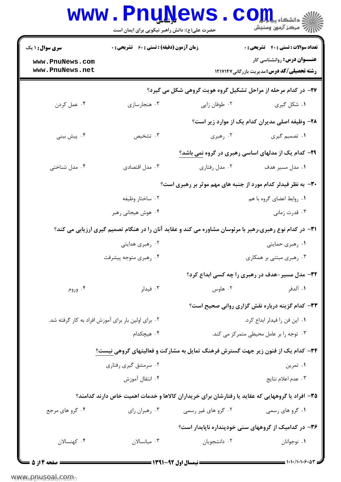| <b>سری سوال :</b> ۱ یک                              | <b>زمان آزمون (دقیقه) : تستی : 60 ٪ تشریحی : 0</b> |                                                                                                                 | <b>تعداد سوالات : تستی : 40 - تشریحی : .</b>                                            |
|-----------------------------------------------------|----------------------------------------------------|-----------------------------------------------------------------------------------------------------------------|-----------------------------------------------------------------------------------------|
| www.PnuNews.com<br>www.PnuNews.net                  |                                                    |                                                                                                                 | <b>عنـــوان درس:</b> روانشناسی کار<br><b>رشته تحصیلی/کد درس:</b> مدیریت بازرگانی1۲۱۷۱۴۷ |
|                                                     |                                                    | ۲۷- در کدام مرحله از مراحل تشکیل گروه هویت گروهی شکل می گیرد؟                                                   |                                                                                         |
| ۰۴ عمل کردن                                         | ۰۳ هنجارسازی                                       | ۰۲ طوفان زايي                                                                                                   | ۰۱ شکل گیری                                                                             |
|                                                     |                                                    |                                                                                                                 | ۲۸- وظیفه اصلی مدیران کدام یک از موارد زیر است؟                                         |
| ۰۴ پیش بینی                                         | ۰۳ تشخیص                                           | ۰۲ رهبری                                                                                                        | ۱. تصمیم گیری                                                                           |
|                                                     |                                                    | ۲۹- کدام یک از مدلهای اساسی رهبری در گروه نمی باشد؟                                                             |                                                                                         |
| ۰۴ مدل شناختی                                       | ۰۳ مدل اقتصادی                                     | ۰۲ مدل رفتاري                                                                                                   | ۰۱ مدل مسیر هدف                                                                         |
|                                                     |                                                    | ۳۰- به نظر فیدلر کدام مورد از جنبه های مهم موثر بر رهبری است؟                                                   |                                                                                         |
|                                                     | ۰۲ ساختار وظیفه                                    |                                                                                                                 | ۰۱ روابط اعضای گروه با هم                                                               |
|                                                     | ۰۴ هوش هیجانی رهبر                                 |                                                                                                                 | ۰۳ قدرت زمانی                                                                           |
|                                                     |                                                    | <b>۳۱</b> - در کدام نوع رهبری،رهبر با مرئوسان مشاوره می کند و عقاید آنان را در هنگام تصمیم گیری ارزیابی می کند؟ |                                                                                         |
|                                                     | ۰۲ رهبری هدایتی                                    |                                                                                                                 | ۰۱ رهبري حمايتي                                                                         |
|                                                     | ۰۴ رهبری متوجه پیشرفت                              |                                                                                                                 | ۰۳ رهبری مبتنی بر همکاری                                                                |
|                                                     |                                                    |                                                                                                                 | ۳۲- مدل مسیر-هدف در رهبری را چه کسی ابداع کرد؟                                          |
| ۰۴ وروم                                             | ۰۳ فیدلر                                           | ۰۲ هاوس                                                                                                         | ١. ألدفر                                                                                |
|                                                     |                                                    |                                                                                                                 | 33- کدام گزینه درباره نقش گزاری روانی صحیح است؟                                         |
| ۰۲ برای اولین بار برای آموزش افراد به کار گرفته شد. |                                                    |                                                                                                                 | ٠١. اين فن را فيدلر ابداع كرد.                                                          |
|                                                     | ۰۴ هیچکدام                                         |                                                                                                                 | ۰۳ توجه را بر عامل محیطی متمرکز می کند.                                                 |
|                                                     |                                                    | <b>۳۴</b> – کدام یک از فنون زیر جهت گسترش فرهنگ تمایل به مشارکت و فعالیتهای گروهی نیست؟                         |                                                                                         |
|                                                     | ۰۲ سرمشق گیری رفتاری                               |                                                                                                                 | ۰۱ تمرین                                                                                |
|                                                     | ۰۴ انتقال آموزش                                    |                                                                                                                 | ۰۳ عدم اعلام نتايج                                                                      |
|                                                     |                                                    | ۳۵– افراد یا گروههایی که عقاید یا رفتارشان برای خریداران کالاها و خدمات اهمیت خاص دارند کدامند؟                 |                                                                                         |
| ۰۴ گرو های مرجع                                     | ۰۳ رهبران رای                                      | ۰۲ گرو های غیر رسمی                                                                                             | ۰۱ گرو های رسمی                                                                         |
|                                                     |                                                    | ۳۶- در کدامیک از گروههای سنی خودپنداره ناپایدار است؟                                                            |                                                                                         |
| ۰۴ کهنسالان                                         | ۰۳ میانسالان                                       | ۰۲ دانشجویان                                                                                                    | ۰۱ نوجوانان                                                                             |